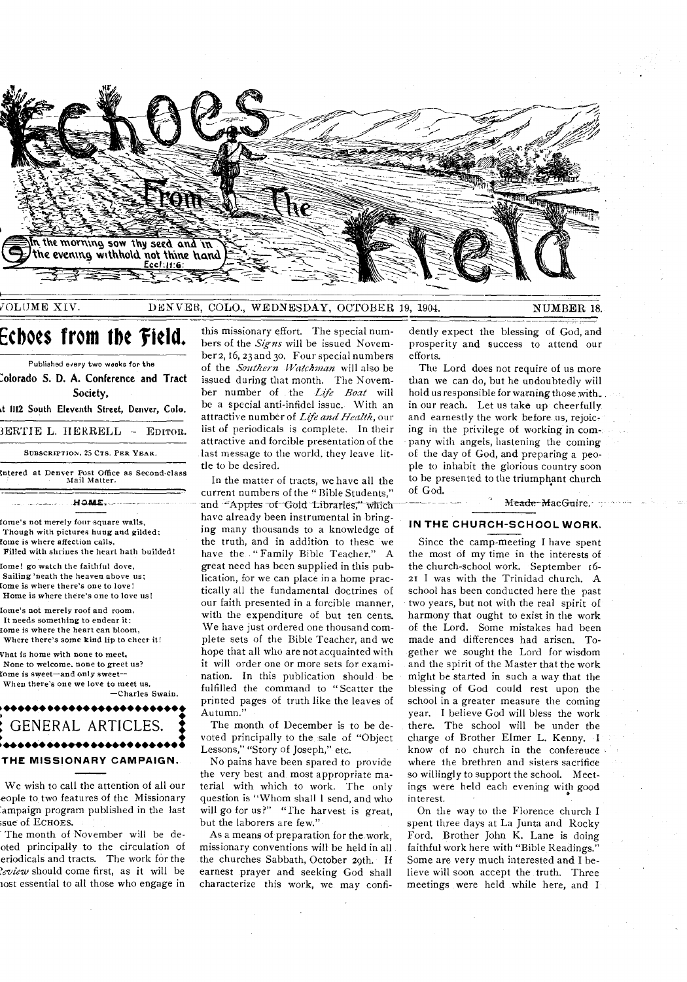

VOLUME XIV.

#### DENVER, COLO., WEDNESDAY, OCTOBER 19, 1904.

NUMBER 18.

# Ecboes from the Field.

Published every two weeks for the Colorado S. D. A. Conference and Tract Society. t 1112 South Eleventh Street, Denver, Colo. BERTIE L. HERRELL - EDITOR. SUBSCRIPTION, 25 CTS. PER YEAR.

Intered at Denver Post Office as Second-class<br>Mail Matter. HOME

Iome's not merely four square walls. Though with pictures hung and gilded: tome is where affection calls. Filled with shrines the heart hath builded!

Iome! go watch the faithful dove, Sailing 'neath the heaven above us; fome is where there's one to love! Home is where there's one to love us!

lome's not merely roof and room. It needs something to endear it: fome is where the heart can bloom. Where there's some kind lip to cheer it!

Vhat is home with none to meet, None to welcome, none to greet us? fome is sweet—and only sweet— When there's one we love to meet us.

-Charles Swain.

GENERAL ARTICLES. ,,,,,,,,,,,,,,,,, THE MISSIONARY CAMPAIGN.

We wish to call the attention of all our eople to two features of the Missionary ampaign program published in the last sue of ECHOES.

The month of November will be deoted principally to the circulation of eriodicals and tracts. The work for the leview should come first, as it will be nost essential to all those who engage in

this missionary effort. The special numbers of the Signs will be issued November 2, 16, 23 and 30. Four special numbers of the Southern Watchman will also be issued during that month. The November number of the Life Boat will be a special anti-infidel issue. With an attractive number of Life and Health, our list of periodicals is complete. In their attractive and forcible presentation of the last message to the world, they leave little to be desired.

In the matter of tracts, we have all the current numbers of the "Bible Students," and "Apples of Gold Libraries," which have already been instrumental in bringing many thousands to a knowledge of the truth, and in addition to these we have the "Family Bible Teacher." A great need has been supplied in this publication, for we can place in a home practically all the fundamental doctrines of our faith presented in a forcible manner, with the expenditure of but ten cents. We have just ordered one thousand complete sets of the Bible Teacher, and we hope that all who are not acquainted with it will order one or more sets for examination. In this publication should be fulfilled the command to "Scatter the printed pages of truth like the leaves of Autumn.'

The month of December is to be devoted principally to the sale of "Object" Lessons," "Story of Joseph," etc.

No pains have been spared to provide the very best and most appropriate material with which to work. The only question is "Whom shall 1 send, and who will go for us?" "The harvest is great, but the laborers are few."

As a means of preparation for the work, missionary conventions will be held in all the churches Sabbath, October 29th. If earnest prayer and seeking God shall characterize this work, we may confidently expect the blessing of God, and prosperity and success to attend our efforts.

The Lord does not require of us more than we can do, but he undoubtedly will hold us responsible for warning those with. in our reach. Let us take up cheerfully and earnestly the work before us, rejoicing in the privilege of working in company with angels, hastening the coming of the day of God, and preparing a people to inhabit the glorious country soon to be presented to the triumphant church of God.

Meade MacGuire.

### IN THE CHURCH-SCHOOL WORK.

Since the camp-meeting I have spent the most of my time in the interests of the church-school work. September 16-21 I was with the Trinidad church. A school has been conducted here the past two years, but not with the real spirit of harmony that ought to exist in the work of the Lord. Some mistakes had been made and differences had arisen. Together we sought the Lord for wisdom and the spirit of the Master that the work might be started in such a way that the blessing of God could rest upon the school in a greater measure the coming year. I believe God will bless the work there. The school will be under the charge of Brother Elmer L. Kenny. I know of no church in the conference where the brethren and sisters sacrifice so willingly to support the school. Meetings were held each evening with good interest.

On the way to the Florence church I spent three days at La Junta and Rocky Ford. Brother John K. Lane is doing faithful work here with "Bible Readings." Some are very much interested and I believe will soon accept the truth. Three meetings were held while here, and I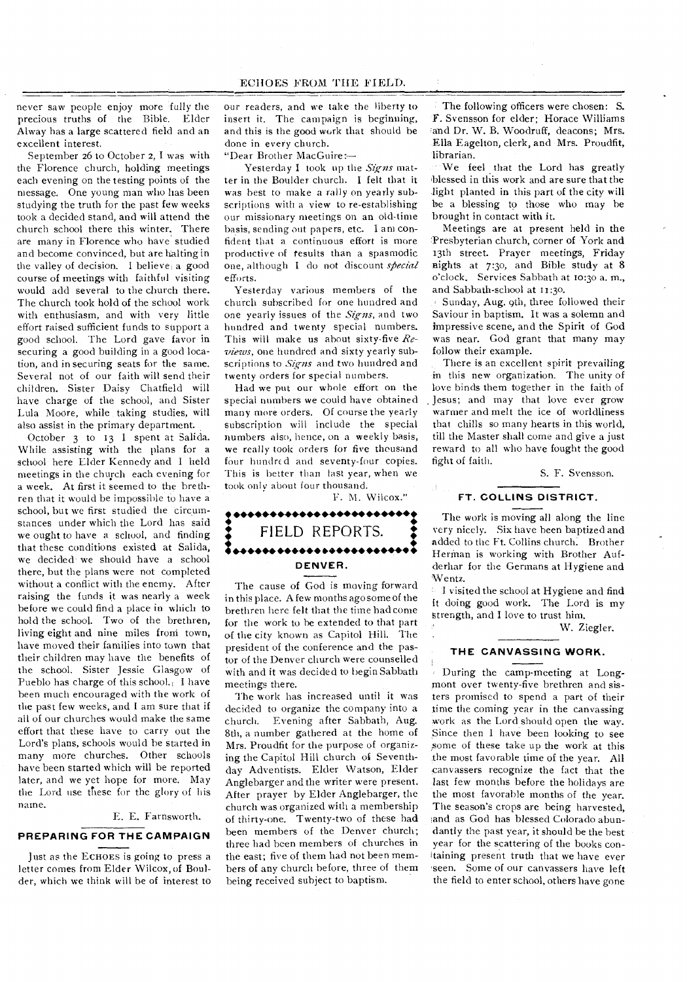never saw people enjoy more fully the precious truths of the Bible. Elder Alway has a large scattered field and an excellent interest.

September 26 to October 2, I was with the Florence church, holding meetings each evening on the testing points of the message. One young man who has been studying the truth for the past few weeks took a decided stand, and will attend the church school there this winter. There are many in Florence who have studied and become convinced, but are halting in the valley of decision. I believe, a good course of meetings with faithful visiting would add several to the church there. The church took hold of the school work with enthusiasm, and with very little effort raised sufficient funds to support a good school. The Lord gave favor in securing a good building in a good location, and in securing seats for the same. Several not of our faith will send their children. Sister Daisy Chatfield will have charge of the school, and Sister Lula Moore, while taking studies, will also assist in the primary department.

October 3 to 13 I spent at Salida. While assisting with the plans for a school here Elder Kennedy and I held meetings in the chuych each evening for a week. At first it seemed to the brethren that it would be impossible to have a school, but we first studied the circumstances under which the Lord has said we ought to have a school, and finding that these conditions existed at Salida, we decided we should have a school there, but the plans were not completed without a conflict with the enemy. After raising the funds it was nearly a week before we could find a place in which to hold the school. Two of the brethren, living eight and nine miles from town, have moved their families into town that their children may have the benefits of the school. Sister Jessie Glasgow of Pueblo has charge of this school. I have been much encouraged with the work of the past few weeks, and I am sure that if all of our churches would make the same effort that these have to carry out the Lord's plans, schools would he started in many more churches. Other schools have been started which will be reported later, and we yet hope for more. May the Lord use these for the glory of his name.

E. E. Farnsworth.

#### **PREPARING FOR THE CAMPAIGN**

Just as the ECHOES is going to press a letter comes from Elder Wilcox, of Boulder, which we think will be of interest to our readers, and we take the liberty to insert it. The campaign is beginning, and this is the good work that should be done in every church.

"Dear Brother MacGuire:—

Yesterday I took up the *Signs* matter in the Boulder church. I felt that it was best to make a rally on yearly subscriptions with a view to re-establishing our missionary meetings on an old-time basis, sending out papers, etc. I am confident that a continuous effort is more productive of results than a spasmodic one, although I do not discount *special*  efforts.

Yesterday various members of the church subscribed for one hundred and one yearly issues of the *Signs,* and two hundred and twenty special numbers. This will make us about sixty-five *Reviews,* one hundred and sixty yearly subscriptions to *Signs* and two hundred and twenty orders for special numbers.

Had we put our whole effort on the special numbers we could have obtained many more orders. Of course the yearly subscription will include the special numbers also, hence, on a weekly basis, we really took orders for five thousand four hundred and seventy-four copies. This is better than last year, when we took only about four thousand.

F. M. Wilcox."

## • •••••••••••••••••• •••••• • • • • FIELD REPORTS. i•••••••••••• •••••• •••••• • **DENVER.**

The cause of God is moving forward in this place. A few months ago some of the brethren here felt that the time had come for the work to be extended to that part of the city known as Capitol Hill. The president of the conference and the pastor of the Denver church were counselled with and it was decided to begin Sabbath meetings there.

The work has increased until it was decided to organize the company into a church. Evening after Sabbath, Aug. 8th, a number gathered at the home of Mrs. Proudfit for the purpose of organizing the Capitol Hill church of Seventhday Adventists. Elder Watson, Elder Anglebarger and the writer were present. After prayer by Elder Anglebarger, the church was organized with a membership of thirty-one. Twenty-two of these had been members of the Denver church; three had been members of churches in the east; five of them had not been members of any church before, three of them being received subject to baptism.

The following officers were chosen: S. F. Svensson for elder; Horace Williams and Dr. W. B. Woodruff, deacons; Mrs. Ella Eagelton, clerk, and Mrs. Proudfit, librarian.

We feel that the Lord has greatly blessed in this work and are sure that the light planted in this part of the city will be a blessing to those who may be brought in contact with it.

Meetings are at present held in the 'Presbyterian church, corner of York and 13th street. Prayer meetings, Friday nights at 7:30, and Bible study at 8 o'clock. Services Sabbath at to:3o a. m., and Sabbath-school at 11:30.

Sunday, Aug. 9th, three followed their Saviour in baptism. It was a solemn and impressive scene, and the Spirit of God was near. God grant that many may follow their example.

There is an excellent spirit prevailing in this new organization. The unity of love binds them together in the faith of Jesus; and may that love ever grow warmer and melt the ice of worldliness that chills so many hearts in this world, till the Master shall come and give a just reward to all who have fought the good fight of faith.

S. F. Svensson.

#### **FT. COLLINS DISTRICT.**

The work is moving all along the line very nicely. Six have been baptized and added to the Ft. Collins church. Brother Herman is working with Brother Aufderhar for the Germans at Hygiene and Wentz.

I visited the school at Hygiene and find it doing good work. The Lord is my Strength, and I love to trust him.

W. Ziegler.

#### **THE CANVASSING WORK.**

During the camp-meeting at Longmont over twenty-five brethren and sisters promised to spend a part of their time the coming year in the canvassing work as the Lord should open the way. Since then I have been looking to see ,some of these take up the work at this the most favorable time of the year. All canvassers recognize the fact that the last few months before the holidays are the most favorable months of the year. The season's crops are being harvested, land as God has blessed Colorado abundantly the past year, it should be the best year for the scattering of the books conltaining present truth that we have ever seen. Some of our canvassers have left the field to enter school, others have gone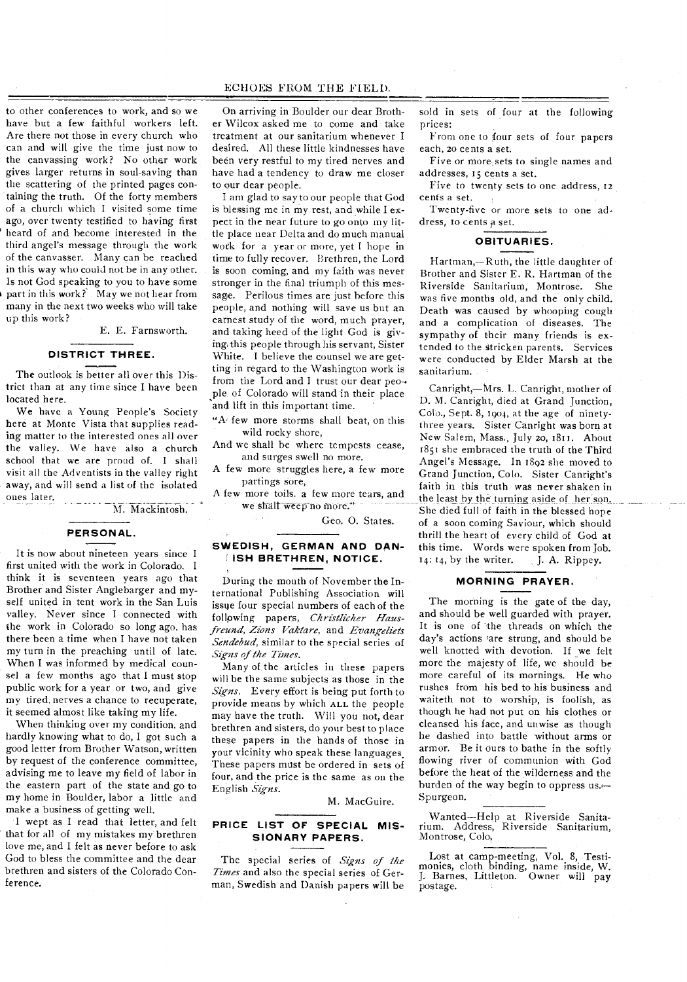to other conferences to work, and so we have but a few faithful workers left. Are there not those in every church who can and will give the time just now to the canvassing work? No other work gives larger returns in soul-saving than the scattering of the printed pages containing the truth. Of the forty members of a church which I visited some time ago, over twenty testified to having first heard of and become interested in the third angel's message through the work of the canvasser. Many can be reached in this way who could not be in any other. Is not God speaking to you to have some part in this work? May we not hear from many in the next two weeks who will take up this work?

E. E. Farnsworth.

#### **DISTRICT THREE.**

The outlook is better all over this District than at any time since I have been located here.

We have a Young People's Society here at Monte Vista that supplies reading matter to the interested ones all over the valley. We have also a church school that we are proud of. I shall visit all the Adventists in the valley right away, and will send a list of the isolated ones later.

M. Mackintosh,

#### **PERSONAL.**

It is now about nineteen years since I first united with the work in Colorado. I think it is seventeen years ago that Brother and Sister Anglebarger and myself united in tent work in the San Luis valley. Never since I connected with the work in Colorado so long ago, has there been a time when I have not taken my turn in the preaching until of late. When I was informed by medical counsel a few months ago that I must stop public work for a year or two, and give my tired. nerves a chance to recuperate, it seemed almost like taking my life.

When thinking over my condition. and hardly knowing what to do, I got such a good letter from Brother Watson, written by request of the conference committee, advising me to leave my field of labor in the eastern part of the state and go to my home in Boulder, labor a little and make a business of getting well.

I wept as I read that letter, and felt that for all of my mistakes my brethren love me, and I felt as never before to ask God to bless the committee and the dear brethren and sisters of the Colorado Conference.

On arriving in Boulder our dear Brother Wilcox asked me to come and take treatment at our sanitarium whenever I desired. All these little kindnesses have been very restful to my tired nerves and have had a tendency to draw me closer to our dear people.

I am glad to say to our people that God is blessing me in my rest, and while I expect in the near future to go onto my little place near Delta and do much manual work for a year or more, yet I hope in time to fully recover. Brethren, the Lord is soon coming, and my faith was never stronger in the final triumph of this message. Perilous times are just before this people, and nothing will save us but an earnest study of the word, much prayer, and taking heed of the light God is giving, this people through his servant, Sister White. I believe the counsel we are getting in regard to the Washington work is from the Lord and I trust our dear peo-• ple of Colorado will stand in their place and lift in this important time.

"A few more storms shall beat, on this wild rocky shore,

And we shall be where tempests cease, and surges swell no more.

A few more struggles here, a few more partings sore,

A few more toils. a few more tears, and we shall weep no more."

Geo. 0. States.

#### **SWEDISH, GERMAN AND DAN-ISH BRETHREN, NOTICE.**

During the month of November the International Publishing Association will issue four special numbers of each of the following papers, *Christlicher Hausfreund, Zions Vaktare,* and *Evangeliets Sendebud,* similar to the special series of *Signs of the Times.* 

Many of the articles in these papers will be the same subjects as those in the *Signs.* Every effort is being put forth to provide means by which ALL the people may have the truth. Will you not, dear brethren and sisters, do your best to place these papers in the hands of those in your vicinity who speak these languages, These papers must be ordered in sets of four, and the price is the same as on the English *Signs.* 

M. MacGuire.

#### **PRICE LIST OF SPECIAL MIS-SIONARY PAPERS.**

The special series of *Signs of the Times* and also the special series of German, Swedish and Danish papers will be sold in sets of four at the following prices:

From one to four sets of four papers each, zo cents a set.

Five or more, sets to single names and addresses, 15 cents a set.

Five to twenty sets to one address, 12 cents a set.

Twenty-five or more sets to one address, to cents a set.

#### **OBITUARIES.**

Hartman,—Ruth, the little daughter of Brother and Sister E. R. Hartman of the Riverside Sanitarium, Montrose. She was five months old, and the only child. Death was caused by whooping cough and a complication of diseases. The sympathy of their many friends is extended to the stricken parents. Services were conducted by Elder Marsh at the sanitarium.

Canright,—Mrs. L. Canright, mother of D. M. Canright, died at Grand Junction, Colo., Sept. 8, 1904, at the age of ninetythree years. Sister Canright was born at New Salem, Mass., July 20, 1811. About 1851 she embraced the truth of the Third Angel's Message. In 1892 she moved to Grand Junction, Colo. Sister Canright's faith in this truth was never shaken in the least by the turning aside of her son. She died full of faith in the blessed hope of a soon coming Saviour, which should thrill the heart of every child of God at this time. Words were spoken from Job.  $14: 14$ , by the writer. J. A. Rippey.

#### **MORNING PRAYER.**

The morning is the gate of the day, and should be well guarded with prayer. It is one of the threads on which the day's actions 'are strung, and should be well knotted with devotion. If we felt more the majesty of life, we should be more careful of its mornings. He who rushes from his bed to his business and waiteth not to worship, is foolish, as though he had not put on his clothes or cleansed his face, and unwise as though he dashed into battle without arms or armor. Be it Ours to bathe in the softly flowing river of communion with God before the heat of the wilderness and the burden of the way begin to oppress us.— Spurgeon.

Wanted—Help at Riverside Sanitarium. Address, Riverside Sanitarium, Montrose, Colo,

Lost at camp-meeting, Vol. 8, Testimonies, cloth binding, name inside, W. J. Barnes, Littleton. Owner will pay postage.